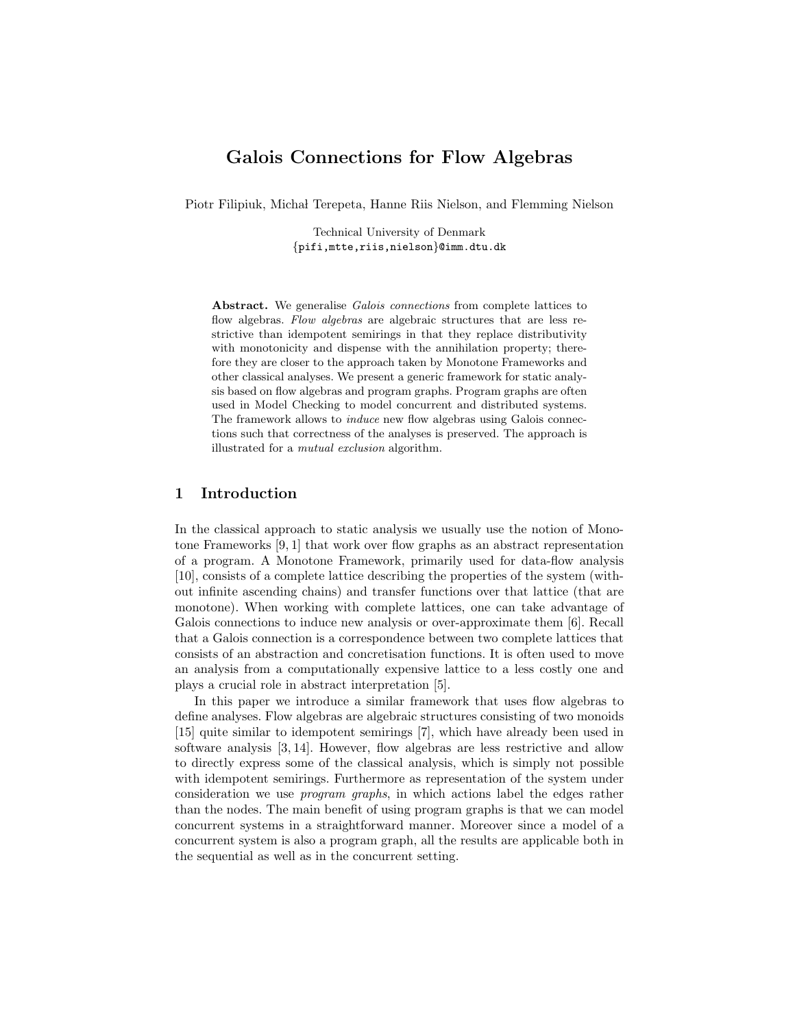# Galois Connections for Flow Algebras

Piotr Filipiuk, Michał Terepeta, Hanne Riis Nielson, and Flemming Nielson

Technical University of Denmark {pifi,mtte,riis,nielson}@imm.dtu.dk

Abstract. We generalise Galois connections from complete lattices to flow algebras. Flow algebras are algebraic structures that are less restrictive than idempotent semirings in that they replace distributivity with monotonicity and dispense with the annihilation property; therefore they are closer to the approach taken by Monotone Frameworks and other classical analyses. We present a generic framework for static analysis based on flow algebras and program graphs. Program graphs are often used in Model Checking to model concurrent and distributed systems. The framework allows to induce new flow algebras using Galois connections such that correctness of the analyses is preserved. The approach is illustrated for a mutual exclusion algorithm.

### 1 Introduction

In the classical approach to static analysis we usually use the notion of Monotone Frameworks [9, 1] that work over flow graphs as an abstract representation of a program. A Monotone Framework, primarily used for data-flow analysis [10], consists of a complete lattice describing the properties of the system (without infinite ascending chains) and transfer functions over that lattice (that are monotone). When working with complete lattices, one can take advantage of Galois connections to induce new analysis or over-approximate them [6]. Recall that a Galois connection is a correspondence between two complete lattices that consists of an abstraction and concretisation functions. It is often used to move an analysis from a computationally expensive lattice to a less costly one and plays a crucial role in abstract interpretation [5].

In this paper we introduce a similar framework that uses flow algebras to define analyses. Flow algebras are algebraic structures consisting of two monoids [15] quite similar to idempotent semirings [7], which have already been used in software analysis [3, 14]. However, flow algebras are less restrictive and allow to directly express some of the classical analysis, which is simply not possible with idempotent semirings. Furthermore as representation of the system under consideration we use program graphs, in which actions label the edges rather than the nodes. The main benefit of using program graphs is that we can model concurrent systems in a straightforward manner. Moreover since a model of a concurrent system is also a program graph, all the results are applicable both in the sequential as well as in the concurrent setting.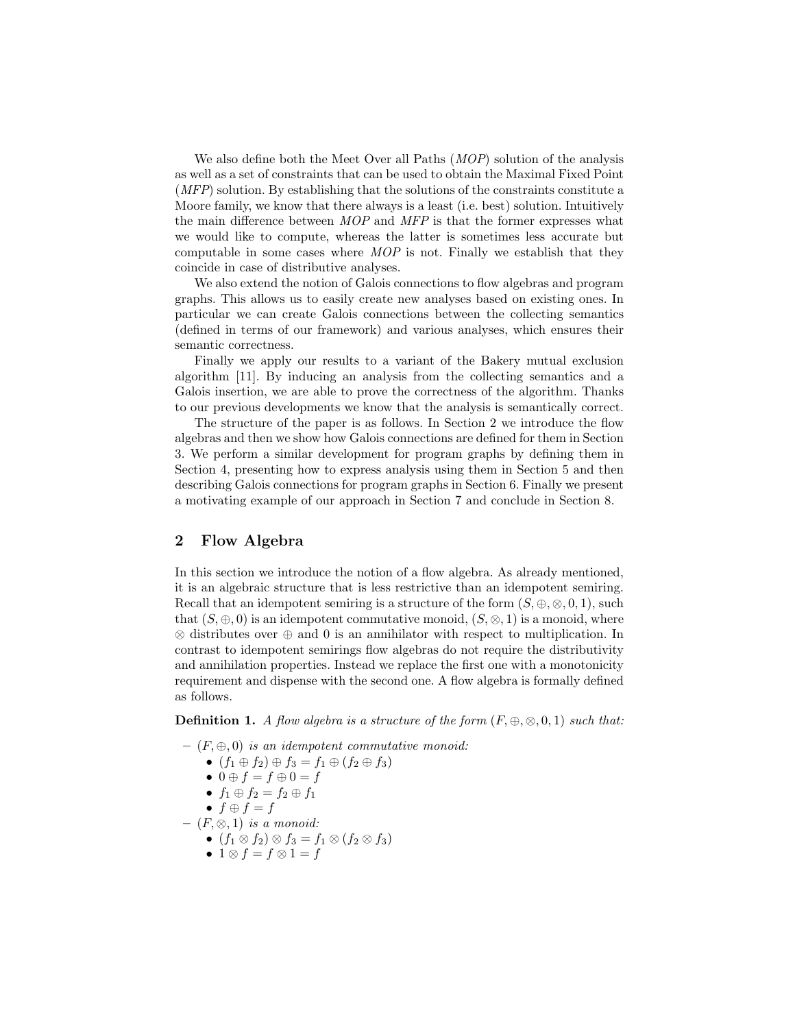We also define both the Meet Over all Paths (*MOP*) solution of the analysis as well as a set of constraints that can be used to obtain the Maximal Fixed Point (MFP) solution. By establishing that the solutions of the constraints constitute a Moore family, we know that there always is a least (i.e. best) solution. Intuitively the main difference between MOP and MFP is that the former expresses what we would like to compute, whereas the latter is sometimes less accurate but computable in some cases where MOP is not. Finally we establish that they coincide in case of distributive analyses.

We also extend the notion of Galois connections to flow algebras and program graphs. This allows us to easily create new analyses based on existing ones. In particular we can create Galois connections between the collecting semantics (defined in terms of our framework) and various analyses, which ensures their semantic correctness.

Finally we apply our results to a variant of the Bakery mutual exclusion algorithm [11]. By inducing an analysis from the collecting semantics and a Galois insertion, we are able to prove the correctness of the algorithm. Thanks to our previous developments we know that the analysis is semantically correct.

The structure of the paper is as follows. In Section 2 we introduce the flow algebras and then we show how Galois connections are defined for them in Section 3. We perform a similar development for program graphs by defining them in Section 4, presenting how to express analysis using them in Section 5 and then describing Galois connections for program graphs in Section 6. Finally we present a motivating example of our approach in Section 7 and conclude in Section 8.

### 2 Flow Algebra

In this section we introduce the notion of a flow algebra. As already mentioned, it is an algebraic structure that is less restrictive than an idempotent semiring. Recall that an idempotent semiring is a structure of the form  $(S, \oplus, \otimes, 0, 1)$ , such that  $(S, \oplus, 0)$  is an idempotent commutative monoid,  $(S, \otimes, 1)$  is a monoid, where ⊗ distributes over ⊕ and 0 is an annihilator with respect to multiplication. In contrast to idempotent semirings flow algebras do not require the distributivity and annihilation properties. Instead we replace the first one with a monotonicity requirement and dispense with the second one. A flow algebra is formally defined as follows.

**Definition 1.** A flow algebra is a structure of the form  $(F, \oplus, \otimes, 0, 1)$  such that:

 $(F, \oplus, 0)$  is an idempotent commutative monoid: •  $(f_1 \oplus f_2) \oplus f_3 = f_1 \oplus (f_2 \oplus f_3)$ •  $0 \oplus f = f \oplus 0 = f$ •  $f_1 \oplus f_2 = f_2 \oplus f_1$ •  $f \oplus f = f$  $(F, \otimes, 1)$  is a monoid: •  $(f_1 \otimes f_2) \otimes f_3 = f_1 \otimes (f_2 \otimes f_3)$ • 1  $\otimes$   $f = f \otimes 1 = f$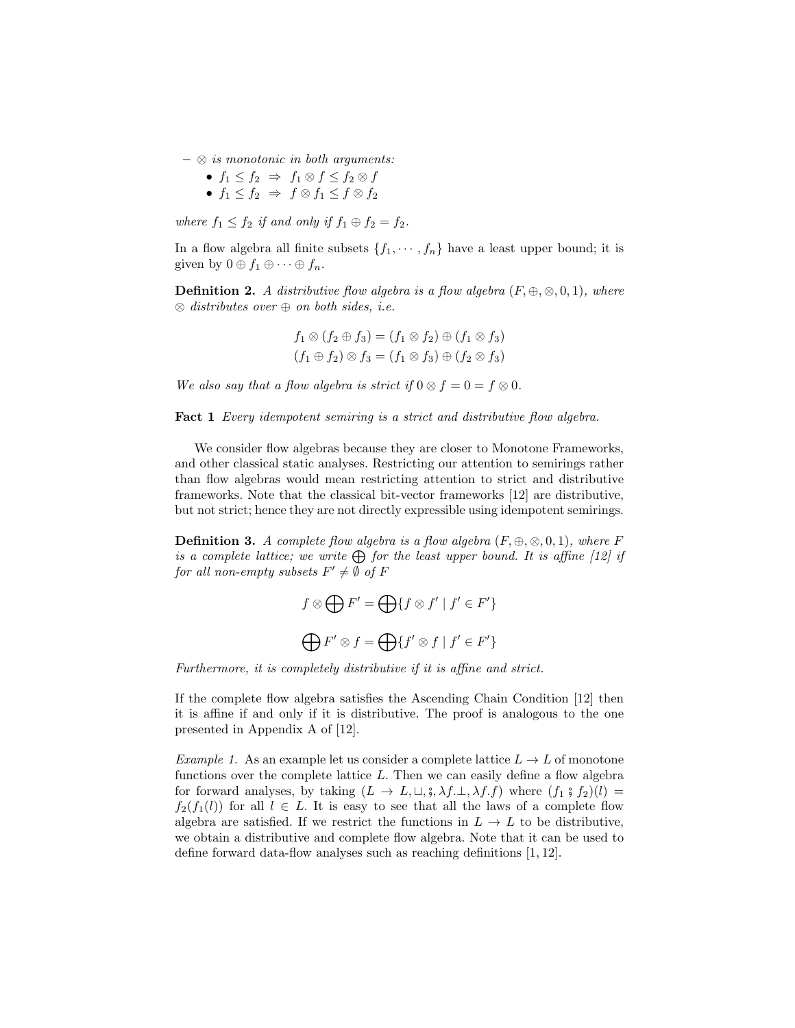- $\otimes$  is monotonic in both arguments:
	- $f_1 \leq f_2 \Rightarrow f_1 \otimes f \leq f_2 \otimes f$
	- $f_1 \leq f_2 \Rightarrow f \otimes f_1 \leq f \otimes f_2$

where  $f_1 \leq f_2$  if and only if  $f_1 \oplus f_2 = f_2$ .

In a flow algebra all finite subsets  $\{f_1, \dots, f_n\}$  have a least upper bound; it is given by  $0 \oplus f_1 \oplus \cdots \oplus f_n$ .

**Definition 2.** A distributive flow algebra is a flow algebra  $(F, \oplus, \otimes, 0, 1)$ , where  $\otimes$  distributes over  $\oplus$  on both sides, i.e.

$$
f_1 \otimes (f_2 \oplus f_3) = (f_1 \otimes f_2) \oplus (f_1 \otimes f_3)
$$
  

$$
(f_1 \oplus f_2) \otimes f_3 = (f_1 \otimes f_3) \oplus (f_2 \otimes f_3)
$$

We also say that a flow algebra is strict if  $0 \otimes f = 0 = f \otimes 0$ .

**Fact 1** Every idempotent semiring is a strict and distributive flow algebra.

We consider flow algebras because they are closer to Monotone Frameworks, and other classical static analyses. Restricting our attention to semirings rather than flow algebras would mean restricting attention to strict and distributive frameworks. Note that the classical bit-vector frameworks [12] are distributive, but not strict; hence they are not directly expressible using idempotent semirings.

**Definition 3.** A complete flow algebra is a flow algebra  $(F, \oplus, \otimes, 0, 1)$ , where F is a complete lattice; we write  $\bigoplus$  for the least upper bound. It is affine [12] if for all non-empty subsets  $F' \neq \emptyset$  of  $F$ 

$$
f \otimes \bigoplus F' = \bigoplus \{ f \otimes f' \mid f' \in F' \}
$$

$$
\bigoplus F' \otimes f = \bigoplus \{ f' \otimes f \mid f' \in F' \}
$$

Furthermore, it is completely distributive if it is affine and strict.

If the complete flow algebra satisfies the Ascending Chain Condition [12] then it is affine if and only if it is distributive. The proof is analogous to the one presented in Appendix A of [12].

Example 1. As an example let us consider a complete lattice  $L \to L$  of monotone functions over the complete lattice  $L$ . Then we can easily define a flow algebra for forward analyses, by taking  $(L \to L, \sqcup, \S, \lambda f. \bot, \lambda f.f)$  where  $(f_1 \S f_2)(l)$  $f_2(f_1(l))$  for all  $l \in L$ . It is easy to see that all the laws of a complete flow algebra are satisfied. If we restrict the functions in  $L \to L$  to be distributive, we obtain a distributive and complete flow algebra. Note that it can be used to define forward data-flow analyses such as reaching definitions  $[1, 12]$ .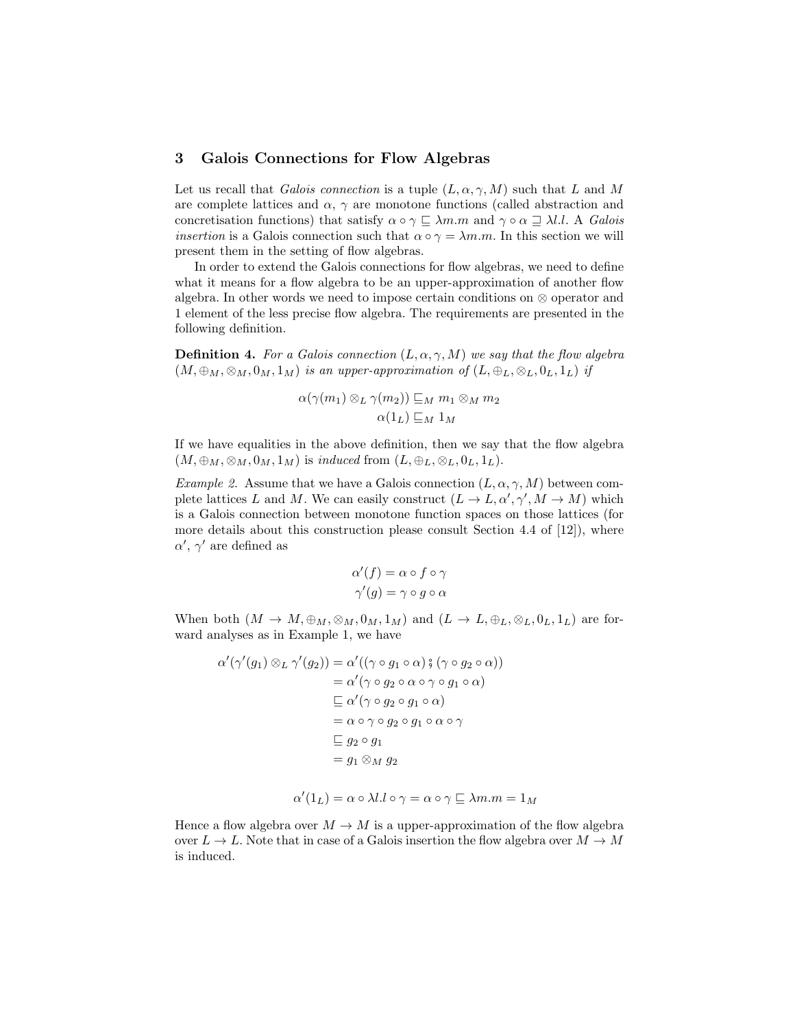#### 3 Galois Connections for Flow Algebras

Let us recall that Galois connection is a tuple  $(L, \alpha, \gamma, M)$  such that L and M are complete lattices and  $\alpha$ ,  $\gamma$  are monotone functions (called abstraction and concretisation functions) that satisfy  $\alpha \circ \gamma \subseteq \lambda m.m$  and  $\gamma \circ \alpha \supseteq \lambda l.l.$  A Galois *insertion* is a Galois connection such that  $\alpha \circ \gamma = \lambda m.m$ . In this section we will present them in the setting of flow algebras.

In order to extend the Galois connections for flow algebras, we need to define what it means for a flow algebra to be an upper-approximation of another flow algebra. In other words we need to impose certain conditions on ⊗ operator and 1 element of the less precise flow algebra. The requirements are presented in the following definition.

**Definition 4.** For a Galois connection  $(L, \alpha, \gamma, M)$  we say that the flow algebra  $(M, \oplus_M, \otimes_M, 0_M, 1_M)$  is an upper-approximation of  $(L, \oplus_L, \otimes_L, 0_L, 1_L)$  if

$$
\alpha(\gamma(m_1) \otimes_L \gamma(m_2)) \sqsubseteq_M m_1 \otimes_M m_2
$$

$$
\alpha(1_L) \sqsubseteq_M 1_M
$$

If we have equalities in the above definition, then we say that the flow algebra  $(M, \oplus_M, \otimes_M, 0_M, 1_M)$  is *induced* from  $(L, \oplus_L, \otimes_L, 0_L, 1_L)$ .

*Example 2.* Assume that we have a Galois connection  $(L, \alpha, \gamma, M)$  between complete lattices L and M. We can easily construct  $(L \to L, \alpha', \gamma', M \to M)$  which is a Galois connection between monotone function spaces on those lattices (for more details about this construction please consult Section 4.4 of  $[12]$ , where  $\alpha'$ ,  $\gamma'$  are defined as

$$
\alpha'(f) = \alpha \circ f \circ \gamma
$$
  

$$
\gamma'(g) = \gamma \circ g \circ \alpha
$$

When both  $(M \to M, \oplus_M, \otimes_M, 0_M, 1_M)$  and  $(L \to L, \oplus_L, \otimes_L, 0_L, 1_L)$  are forward analyses as in Example 1, we have

$$
\alpha'(\gamma'(g_1) \otimes_L \gamma'(g_2)) = \alpha'((\gamma \circ g_1 \circ \alpha) \circ (\gamma \circ g_2 \circ \alpha))
$$
  
\n
$$
= \alpha'(\gamma \circ g_2 \circ \alpha \circ \gamma \circ g_1 \circ \alpha)
$$
  
\n
$$
\sqsubseteq \alpha'(\gamma \circ g_2 \circ g_1 \circ \alpha)
$$
  
\n
$$
= \alpha \circ \gamma \circ g_2 \circ g_1 \circ \alpha \circ \gamma
$$
  
\n
$$
\sqsubseteq g_2 \circ g_1
$$
  
\n
$$
= g_1 \otimes_M g_2
$$

$$
\alpha'(1_L) = \alpha \circ \lambda l \cdot l \circ \gamma = \alpha \circ \gamma \sqsubseteq \lambda m \cdot m = 1_M
$$

Hence a flow algebra over  $M \to M$  is a upper-approximation of the flow algebra over  $L \to L$ . Note that in case of a Galois insertion the flow algebra over  $M \to M$ is induced.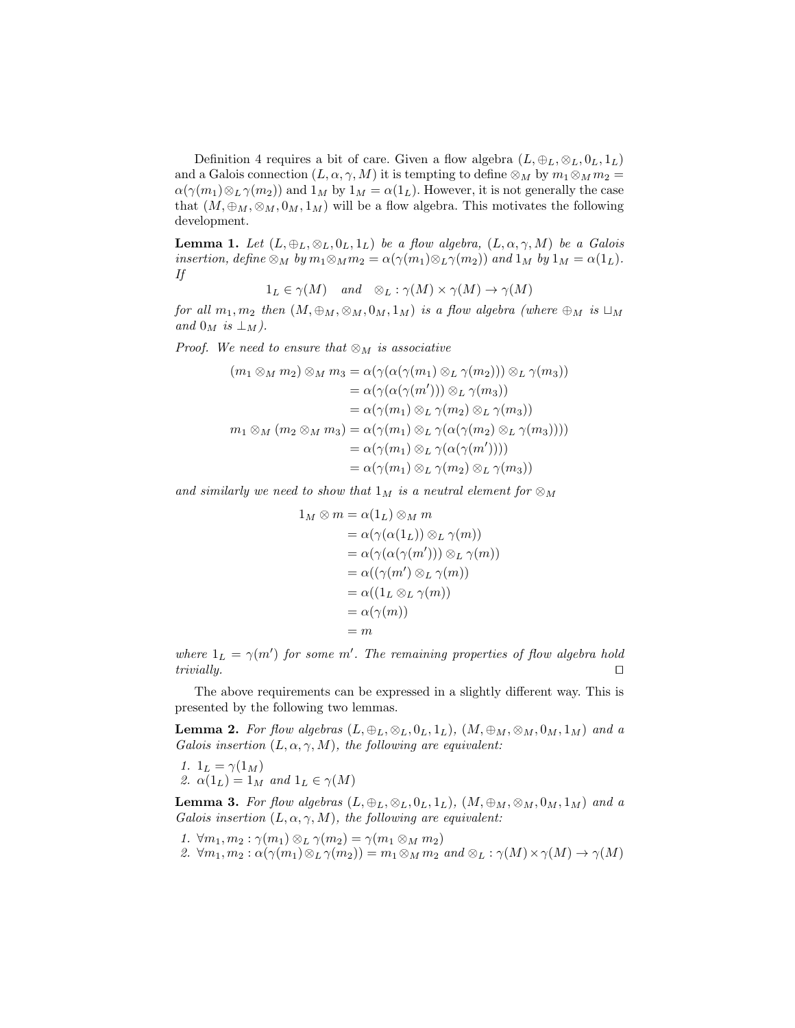Definition 4 requires a bit of care. Given a flow algebra  $(L, \oplus_L, \otimes_L, 0_L, 1_L)$ and a Galois connection  $(L, \alpha, \gamma, M)$  it is tempting to define  $\otimes_M$  by  $m_1 \otimes_M m_2 =$  $\alpha(\gamma(m_1)\otimes_L \gamma(m_2))$  and  $1_M$  by  $1_M = \alpha(1_L)$ . However, it is not generally the case that  $(M, \oplus_M, \otimes_M, 0_M, 1_M)$  will be a flow algebra. This motivates the following development.

**Lemma 1.** Let  $(L, \oplus_L, \otimes_L, 0_L, 1_L)$  be a flow algebra,  $(L, \alpha, \gamma, M)$  be a Galois insertion, define  $\otimes_M$  by  $m_1 \otimes_M m_2 = \alpha(\gamma(m_1) \otimes_L \gamma(m_2))$  and  $1_M$  by  $1_M = \alpha(1_L)$ . If

 $1_L \in \gamma(M)$  and  $\otimes_L : \gamma(M) \times \gamma(M) \to \gamma(M)$ 

for all  $m_1, m_2$  then  $(M, \bigoplus_M, \otimes_M, 0_M, 1_M)$  is a flow algebra (where  $\bigoplus_M$  is  $\Box_M$ and  $0_M$  is  $\perp_M$ ).

*Proof.* We need to ensure that  $\otimes_M$  is associative

$$
(m_1 \otimes_M m_2) \otimes_M m_3 = \alpha(\gamma(\alpha(\gamma(m_1) \otimes_L \gamma(m_2))) \otimes_L \gamma(m_3))
$$
  
\n
$$
= \alpha(\gamma(\alpha(\gamma(m'))) \otimes_L \gamma(m_3))
$$
  
\n
$$
= \alpha(\gamma(m_1) \otimes_L \gamma(m_2) \otimes_L \gamma(m_3))
$$
  
\n
$$
m_1 \otimes_M (m_2 \otimes_M m_3) = \alpha(\gamma(m_1) \otimes_L \gamma(\alpha(\gamma(m_2) \otimes_L \gamma(m_3))))
$$
  
\n
$$
= \alpha(\gamma(m_1) \otimes_L \gamma(\alpha(\gamma(m'))))
$$
  
\n
$$
= \alpha(\gamma(m_1) \otimes_L \gamma(m_2) \otimes_L \gamma(m_3))
$$

and similarly we need to show that  $1_M$  is a neutral element for  $\otimes_M$ 

$$
1_M \otimes m = \alpha(1_L) \otimes_M m
$$
  
=  $\alpha(\gamma(\alpha(1_L)) \otimes_L \gamma(m))$   
=  $\alpha(\gamma(\alpha(\gamma(m'))) \otimes_L \gamma(m))$   
=  $\alpha((\gamma(m') \otimes_L \gamma(m))$   
=  $\alpha((1_L \otimes_L \gamma(m))$   
=  $\alpha(\gamma(m))$   
= m

where  $1_L = \gamma(m')$  for some m'. The remaining properties of flow algebra hold trivially.  $\square$ 

The above requirements can be expressed in a slightly different way. This is presented by the following two lemmas.

**Lemma 2.** For flow algebras  $(L, \oplus_L, \otimes_L, 0_L, 1_L)$ ,  $(M, \oplus_M, \otimes_M, 0_M, 1_M)$  and a Galois insertion  $(L, \alpha, \gamma, M)$ , the following are equivalent:

1. 
$$
1_L = \gamma(1_M)
$$
  
2.  $\alpha(1_L) = 1_M$  and  $1_L \in \gamma(M)$ 

**Lemma 3.** For flow algebras  $(L, \oplus_L, \otimes_L, 0_L, 1_L)$ ,  $(M, \oplus_M, \otimes_M, 0_M, 1_M)$  and a Galois insertion  $(L, \alpha, \gamma, M)$ , the following are equivalent:

1.  $\forall m_1, m_2 : \gamma(m_1) \otimes_L \gamma(m_2) = \gamma(m_1 \otimes_M m_2)$ 2.  $\forall m_1, m_2 : \alpha(\gamma(m_1) \otimes_L \gamma(m_2)) = m_1 \otimes_M m_2$  and  $\otimes_L : \gamma(M) \times \gamma(M) \to \gamma(M)$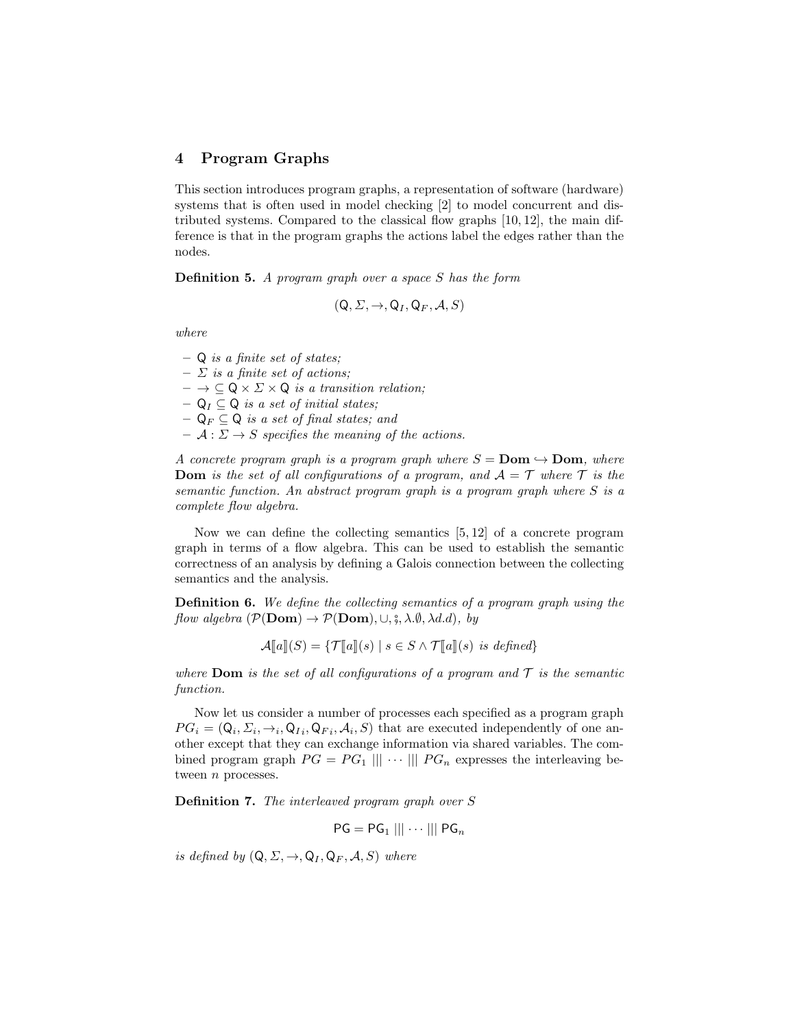#### 4 Program Graphs

This section introduces program graphs, a representation of software (hardware) systems that is often used in model checking [2] to model concurrent and distributed systems. Compared to the classical flow graphs [10, 12], the main difference is that in the program graphs the actions label the edges rather than the nodes.

**Definition 5.** A program graph over a space  $S$  has the form

$$
(\mathsf{Q},\Sigma,\rightarrow,\mathsf{Q}_I,\mathsf{Q}_F,\mathcal{A},S)
$$

where

 $-$  Q is a finite set of states;

 $\Sigma$  is a finite set of actions;

 $- \rightarrow \subseteq \mathsf{Q} \times \Sigma \times \mathsf{Q}$  is a transition relation;

 $- Q_I \subseteq Q$  is a set of initial states;

 $\mathsf{Q}_F \subseteq \mathsf{Q}$  is a set of final states; and

 $- A : \Sigma \to S$  specifies the meaning of the actions.

A concrete program graph is a program graph where  $S = Dom \rightarrow Dom$ , where **Dom** is the set of all configurations of a program, and  $A = \mathcal{T}$  where  $\mathcal{T}$  is the semantic function. An abstract program graph is a program graph where S is a complete flow algebra.

Now we can define the collecting semantics [5, 12] of a concrete program graph in terms of a flow algebra. This can be used to establish the semantic correctness of an analysis by defining a Galois connection between the collecting semantics and the analysis.

Definition 6. We define the collecting semantics of a program graph using the flow algebra  $(\mathcal{P}(\textbf{Dom}) \to \mathcal{P}(\textbf{Dom}), \cup, \S, \lambda \emptyset, \lambda d.d), by$ 

$$
\mathcal{A}[\![a]\!](S) = \{ \mathcal{T}[\![a]\!](s) \mid s \in S \land \mathcal{T}[\![a]\!](s) \text{ is defined} \}
$$

where **Dom** is the set of all configurations of a program and  $\mathcal T$  is the semantic function.

Now let us consider a number of processes each specified as a program graph  $PG_i = (Q_i, \Sigma_i, \rightarrow_i, Q_{I_i}, Q_{F_i}, \mathcal{A}_i, S)$  that are executed independently of one another except that they can exchange information via shared variables. The combined program graph  $PG = PG_1 ||| \cdots ||| PG_n$  expresses the interleaving between *n* processes.

Definition 7. The interleaved program graph over S

$$
\mathsf{PG}=\mathsf{PG}_1\mid\mid\mid\cdots\mid\mid\mid\mathsf{PG}_n
$$

is defined by  $(Q, \Sigma, \rightarrow, Q_I, Q_F, A, S)$  where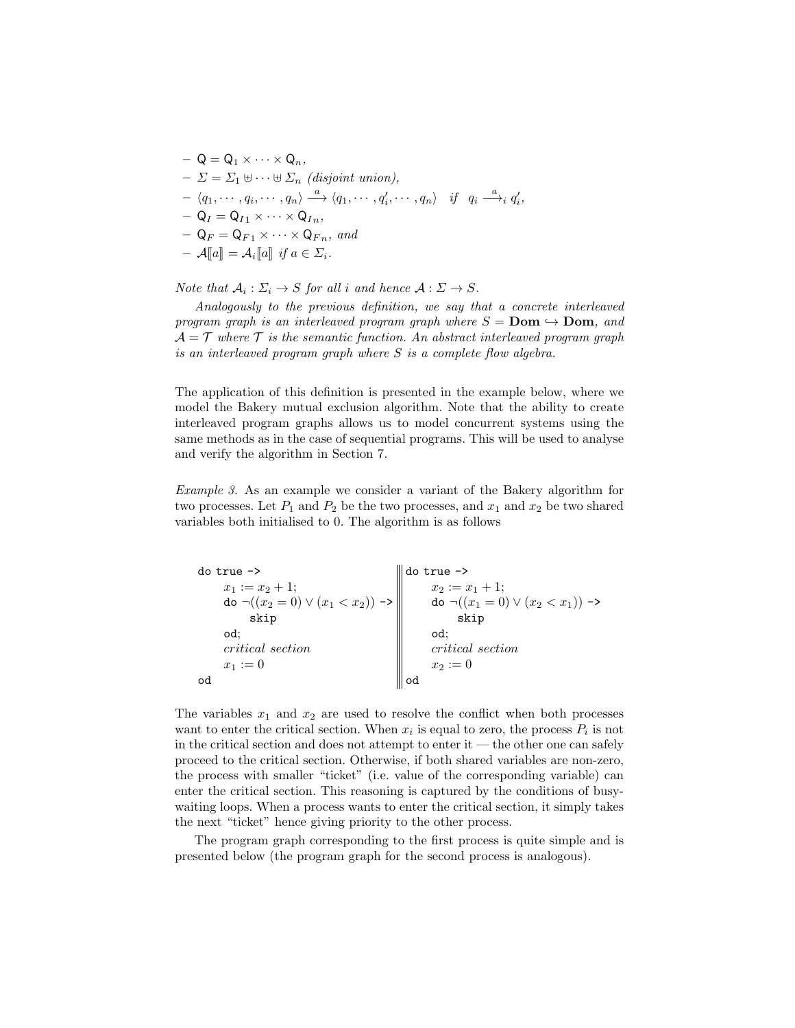$$
Q = Q_1 \times \cdots \times Q_n,
$$
  
\n
$$
- \Sigma = \Sigma_1 \oplus \cdots \oplus \Sigma_n \text{ (disjoint union)},
$$
  
\n
$$
- \langle q_1, \cdots, q_i, \cdots, q_n \rangle \xrightarrow{a} \langle q_1, \cdots, q_i', \cdots, q_n \rangle \text{ if } q_i \xrightarrow{a} q_i',
$$
  
\n
$$
- Q_I = Q_{I1} \times \cdots \times Q_{In},
$$
  
\n
$$
- Q_F = Q_{F1} \times \cdots \times Q_{Fn}, \text{ and}
$$
  
\n
$$
- A[\![a]\!] = \mathcal{A}_i[\![a]\!] \text{ if } a \in \Sigma_i.
$$

Note that  $A_i: \Sigma_i \to S$  for all i and hence  $A: \Sigma \to S$ .

Analogously to the previous definition, we say that a concrete interleaved program graph is an interleaved program graph where  $S = Dom \hookrightarrow Dom$ , and  $\mathcal{A} = \mathcal{T}$  where  $\mathcal{T}$  is the semantic function. An abstract interleaved program graph is an interleaved program graph where S is a complete flow algebra.

The application of this definition is presented in the example below, where we model the Bakery mutual exclusion algorithm. Note that the ability to create interleaved program graphs allows us to model concurrent systems using the same methods as in the case of sequential programs. This will be used to analyse and verify the algorithm in Section 7.

Example 3. As an example we consider a variant of the Bakery algorithm for two processes. Let  $P_1$  and  $P_2$  be the two processes, and  $x_1$  and  $x_2$  be two shared variables both initialised to 0. The algorithm is as follows

| $do true$ ->                                         | ∥do true ->                                       |
|------------------------------------------------------|---------------------------------------------------|
| $x_1 := x_2 + 1$ ;                                   | $x_2 := x_1 + 1$ :                                |
| do $\neg((x_2 = 0) \lor (x_1 < x_2)) \rightarrow \ $ | do $\neg((x_1 = 0) \lor (x_2 < x_1)) \rightarrow$ |
| skip                                                 | skip                                              |
| od:                                                  | od:                                               |
| critical section                                     | critical section                                  |
| $x_1 := 0$                                           | $x_2 := 0$                                        |
| od                                                   |                                                   |

The variables  $x_1$  and  $x_2$  are used to resolve the conflict when both processes want to enter the critical section. When  $x_i$  is equal to zero, the process  $P_i$  is not in the critical section and does not attempt to enter it — the other one can safely proceed to the critical section. Otherwise, if both shared variables are non-zero, the process with smaller "ticket" (i.e. value of the corresponding variable) can enter the critical section. This reasoning is captured by the conditions of busywaiting loops. When a process wants to enter the critical section, it simply takes the next "ticket" hence giving priority to the other process.

The program graph corresponding to the first process is quite simple and is presented below (the program graph for the second process is analogous).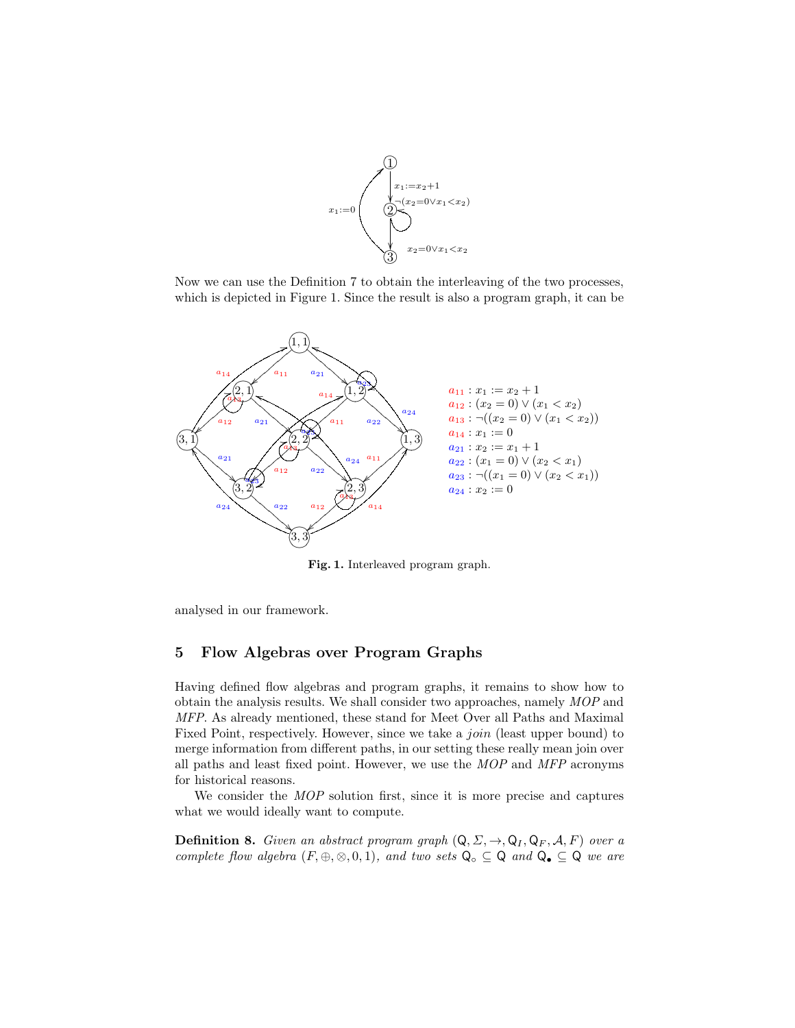

Now we can use the Definition 7 to obtain the interleaving of the two processes, which is depicted in Figure 1. Since the result is also a program graph, it can be



Fig. 1. Interleaved program graph.

analysed in our framework.

## 5 Flow Algebras over Program Graphs

Having defined flow algebras and program graphs, it remains to show how to obtain the analysis results. We shall consider two approaches, namely MOP and MFP. As already mentioned, these stand for Meet Over all Paths and Maximal Fixed Point, respectively. However, since we take a *join* (least upper bound) to merge information from different paths, in our setting these really mean join over all paths and least fixed point. However, we use the MOP and MFP acronyms for historical reasons.

We consider the *MOP* solution first, since it is more precise and captures what we would ideally want to compute.

**Definition 8.** Given an abstract program graph  $(Q, \Sigma, \rightarrow, Q_I, Q_F, \mathcal{A}, F)$  over a complete flow algebra  $(F, \oplus, \otimes, 0, 1)$ , and two sets  $Q_{\circ} \subseteq Q$  and  $Q_{\bullet} \subseteq Q$  we are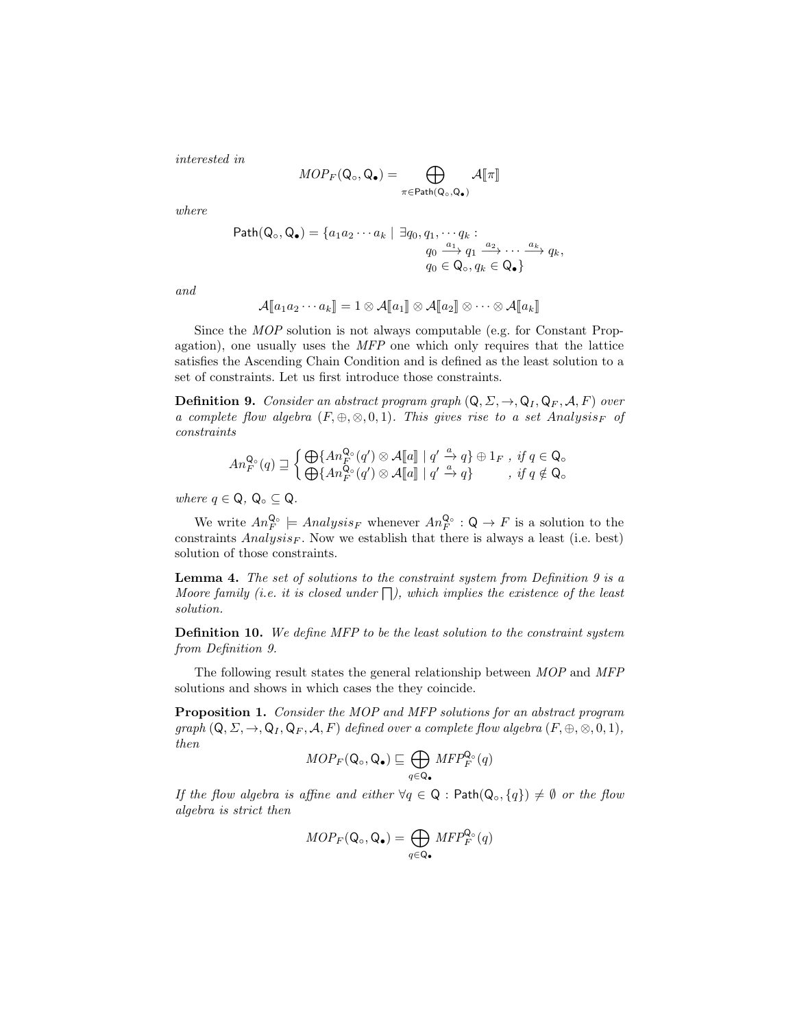interested in

$$
MOP_F(\mathbf{Q}_{\circ}, \mathbf{Q}_{\bullet}) = \bigoplus_{\pi \in \mathsf{Path}(\mathbf{Q}_{\circ}, \mathbf{Q}_{\bullet})} \mathcal{A}[\![\pi]\!]
$$

where

Path(Q<sub>o</sub>, Q<sub>•</sub>) = {
$$
a_1 a_2 \cdots a_k | \exists q_0, q_1, \cdots q_k :
$$
  
\n $q_0 \xrightarrow{a_1} q_1 \xrightarrow{a_2} \cdots \xrightarrow{a_k} q_k,$   
\n $q_0 \in Q_o, q_k \in Q_o$ }

and

$$
\mathcal{A}[\![a_1a_2\cdots a_k]\!]=1\otimes \mathcal{A}[\![a_1]\!]\otimes \mathcal{A}[\![a_2]\!]\otimes \cdots \otimes \mathcal{A}[\![a_k]\!]
$$

Since the MOP solution is not always computable (e.g. for Constant Propagation), one usually uses the MFP one which only requires that the lattice satisfies the Ascending Chain Condition and is defined as the least solution to a set of constraints. Let us first introduce those constraints.

**Definition 9.** Consider an abstract program graph  $(Q, \Sigma, \rightarrow, Q_I, Q_F, \mathcal{A}, F)$  over a complete flow algebra  $(F, \oplus, \otimes, 0, 1)$ . This gives rise to a set Analysis<sub>F</sub> of constraints

$$
An_F^{\mathbf{Q}_\circ}(q) \sqsupseteq \begin{cases} \bigoplus \{An_F^{\mathbf{Q}_\circ}(q') \otimes \mathcal{A}[\![a]\!] \mid q' \xrightarrow{a} q \} \oplus 1_F \text{ , if } q \in \mathbf{Q}_\circ \\ \bigoplus \{An_F^{\mathbf{Q}_\circ}(q') \otimes \mathcal{A}[\![a]\!] \mid q' \xrightarrow{a} q \} \end{cases}
$$
, if  $q \notin \mathbf{Q}_\circ$ 

where  $q \in \mathsf{Q}, \mathsf{Q}_{\circ} \subseteq \mathsf{Q}.$ 

We write  $An_F^{\mathsf{Q}_{\circ}} \models Analysis_F$  whenever  $An_F^{\mathsf{Q}_{\circ}} : \mathsf{Q} \to F$  is a solution to the constraints  $Analysis_F$ . Now we establish that there is always a least (i.e. best) solution of those constraints.

Lemma 4. The set of solutions to the constraint system from Definition 9 is a Moore family (i.e. it is closed under  $\Box$ ), which implies the existence of the least solution.

Definition 10. We define MFP to be the least solution to the constraint system from Definition 9.

The following result states the general relationship between MOP and MFP solutions and shows in which cases the they coincide.

Proposition 1. Consider the MOP and MFP solutions for an abstract program graph  $(Q, \Sigma, \to, Q_I, Q_F, \mathcal{A}, F)$  defined over a complete flow algebra  $(F, \oplus, \otimes, 0, 1)$ , then

$$
MOP_F(\mathsf{Q}_{\circ}, \mathsf{Q}_{\bullet}) \sqsubseteq \bigoplus_{q \in \mathsf{Q}_{\bullet}} MFP_F^{\mathsf{Q}_{\circ}}(q)
$$

If the flow algebra is affine and either  $\forall q \in \mathsf{Q}$ : Path $(\mathsf{Q}_{\circ}, \{q\}) \neq \emptyset$  or the flow algebra is strict then

$$
MOP_F(\mathsf{Q}_{\circ}, \mathsf{Q}_{\bullet}) = \bigoplus_{q \in \mathsf{Q}_{\bullet}} MFP_F^{\mathsf{Q}_{\circ}}(q)
$$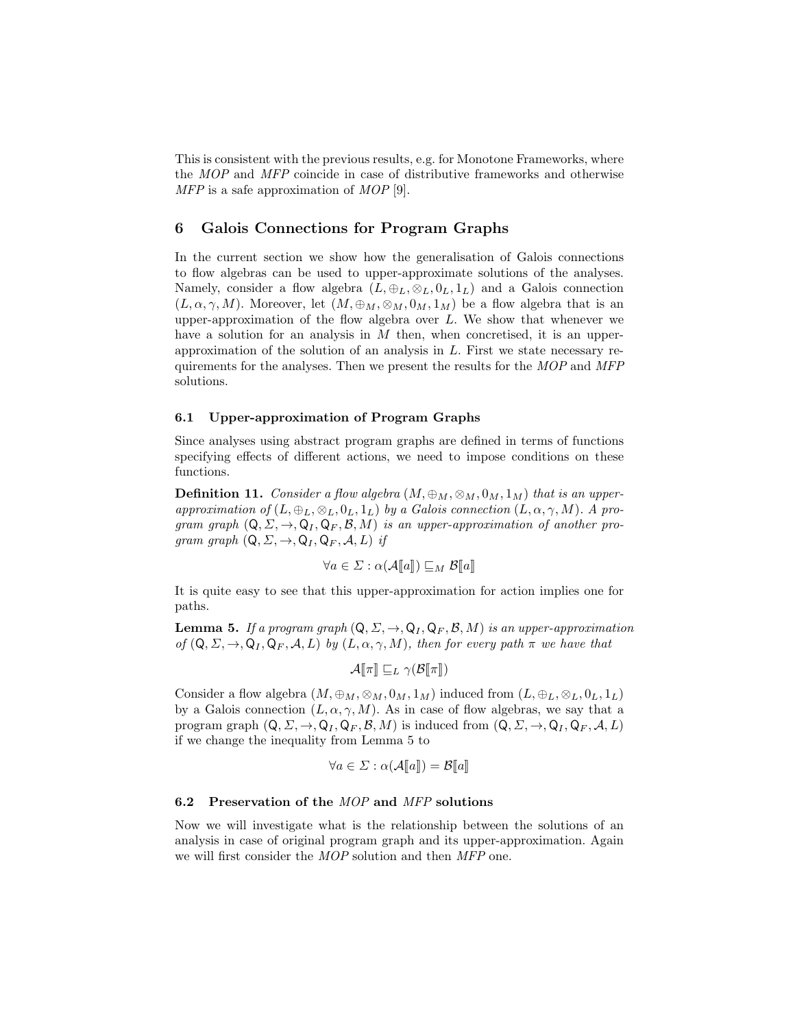This is consistent with the previous results, e.g. for Monotone Frameworks, where the MOP and MFP coincide in case of distributive frameworks and otherwise MFP is a safe approximation of MOP [9].

### 6 Galois Connections for Program Graphs

In the current section we show how the generalisation of Galois connections to flow algebras can be used to upper-approximate solutions of the analyses. Namely, consider a flow algebra  $(L, \oplus_L, \otimes_L, 0_L, 1_L)$  and a Galois connection  $(L, \alpha, \gamma, M)$ . Moreover, let  $(M, \oplus_M, \otimes_M, 0_M, 1_M)$  be a flow algebra that is an upper-approximation of the flow algebra over  $L$ . We show that whenever we have a solution for an analysis in  $M$  then, when concretised, it is an upperapproximation of the solution of an analysis in L. First we state necessary requirements for the analyses. Then we present the results for the MOP and MFP solutions.

#### 6.1 Upper-approximation of Program Graphs

Since analyses using abstract program graphs are defined in terms of functions specifying effects of different actions, we need to impose conditions on these functions.

**Definition 11.** Consider a flow algebra  $(M, \oplus_M, \otimes_M, 0_M, 1_M)$  that is an upperapproximation of  $(L, \oplus_L, \otimes_L, 0_L, 1_L)$  by a Galois connection  $(L, \alpha, \gamma, M)$ . A program graph  $(Q, \Sigma, \rightarrow, Q_I, Q_F, \mathcal{B}, M)$  is an upper-approximation of another program graph  $(Q, \Sigma, \rightarrow, Q_I, Q_F, A, L)$  if

$$
\forall a \in \Sigma : \alpha(\mathcal{A}[\![a]\!]) \sqsubseteq_M \mathcal{B}[\![a]\!]
$$

It is quite easy to see that this upper-approximation for action implies one for paths.

**Lemma 5.** If a program graph  $(Q, \Sigma, \rightarrow, Q_I, Q_F, \mathcal{B}, M)$  is an upper-approximation of  $(Q, \Sigma, \rightarrow, Q_I, Q_F, \mathcal{A}, L)$  by  $(L, \alpha, \gamma, M)$ , then for every path  $\pi$  we have that

$$
\mathcal{A}[\![\pi]\!] \sqsubseteq_L \gamma(\mathcal{B}[\![\pi]\!])
$$

Consider a flow algebra  $(M, \oplus_M, \otimes_M, 0_M, 1_M)$  induced from  $(L, \oplus_L, \otimes_L, 0_L, 1_L)$ by a Galois connection  $(L, \alpha, \gamma, M)$ . As in case of flow algebras, we say that a program graph  $(Q, \Sigma, \rightarrow, Q_I, Q_F, \mathcal{B}, M)$  is induced from  $(Q, \Sigma, \rightarrow, Q_I, Q_F, \mathcal{A}, L)$ if we change the inequality from Lemma 5 to

$$
\forall a \in \Sigma : \alpha(\mathcal{A}[\![a]\!]) = \mathcal{B}[\![a]\!]
$$

#### 6.2 Preservation of the  $MOP$  and  $MFP$  solutions

Now we will investigate what is the relationship between the solutions of an analysis in case of original program graph and its upper-approximation. Again we will first consider the MOP solution and then MFP one.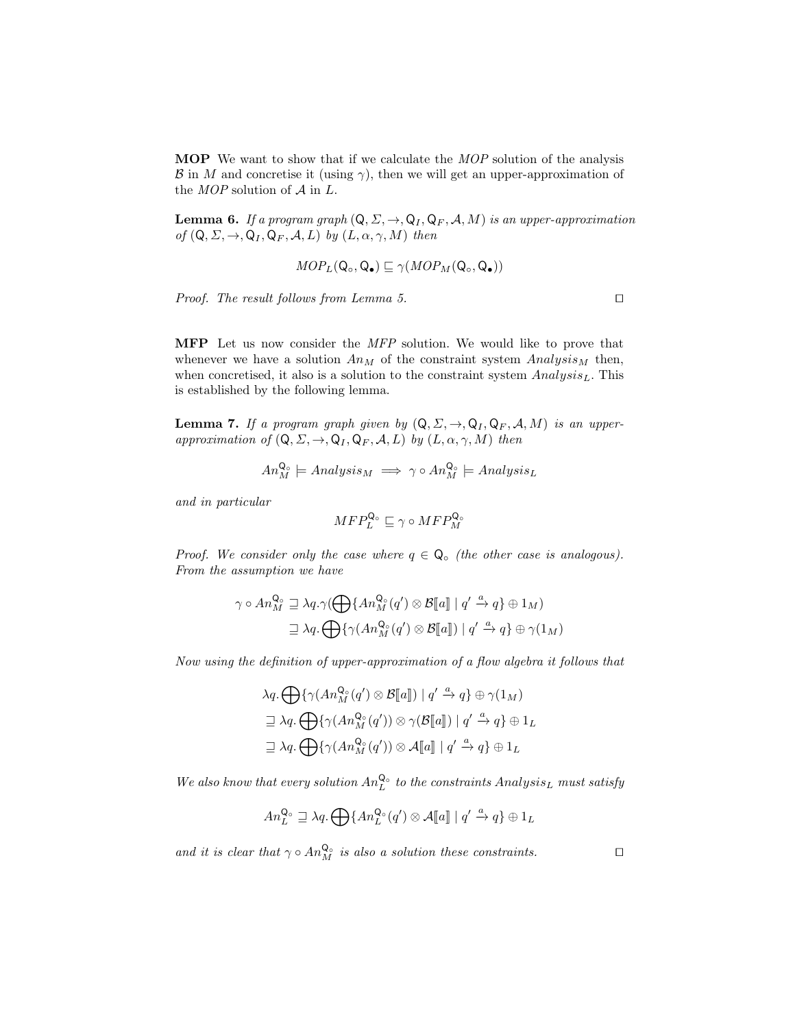**MOP** We want to show that if we calculate the *MOP* solution of the analysis  $\mathcal{B}$  in M and concretise it (using  $\gamma$ ), then we will get an upper-approximation of the  $MOP$  solution of  $A$  in  $L$ .

**Lemma 6.** If a program graph  $(Q, \Sigma, \rightarrow, Q_I, Q_F, \mathcal{A}, M)$  is an upper-approximation of  $(Q, \Sigma, \rightarrow, Q_I, Q_F, A, L)$  by  $(L, \alpha, \gamma, M)$  then

$$
MOP_L(\mathsf{Q}_{\circ}, \mathsf{Q}_{\bullet}) \sqsubseteq \gamma(MOP_M(\mathsf{Q}_{\circ}, \mathsf{Q}_{\bullet}))
$$

Proof. The result follows from Lemma 5.  $\Box$ 

MFP Let us now consider the MFP solution. We would like to prove that whenever we have a solution  $An_M$  of the constraint system  $Analysis_M$  then, when concretised, it also is a solution to the constraint system  $Analysis<sub>L</sub>$ . This is established by the following lemma.

**Lemma 7.** If a program graph given by  $(Q, \Sigma, \rightarrow, Q_I, Q_F, \mathcal{A}, M)$  is an upperapproximation of  $(Q, \Sigma, \rightarrow, Q_I, Q_F, \mathcal{A}, L)$  by  $(L, \alpha, \gamma, M)$  then

$$
An_M^{\mathbf{Q}_\circ} \models Analysis_M \implies \gamma \circ An_M^{\mathbf{Q}_\circ} \models Analysis_L
$$

and in particular

$$
MFP^{\mathsf{Q}_\circ}_L \sqsubseteq \gamma \circ MFP^{\mathsf{Q}_\circ}_M
$$

Proof. We consider only the case where  $q \in \mathsf{Q}_{\circ}$  (the other case is analogous). From the assumption we have

$$
\gamma \circ An_M^{\mathbf{Q}_\circ} \supseteq \lambda q. \gamma \left( \bigoplus \{ An_M^{\mathbf{Q}_\circ}(q') \otimes \mathcal{B}[[a]] \mid q' \xrightarrow{a} q \} \oplus 1_M \right)
$$
  

$$
\supseteq \lambda q. \bigoplus \{ \gamma \left( An_M^{\mathbf{Q}_\circ}(q') \otimes \mathcal{B}[[a]] \right) \mid q' \xrightarrow{a} q \} \oplus \gamma \left( 1_M \right)
$$

Now using the definition of upper-approximation of a flow algebra it follows that

$$
\lambda q. \bigoplus \{ \gamma(An_M^{\mathbb{Q}_{\circ}}(q') \otimes \mathcal{B}[\![a]\!]) \mid q' \xrightarrow{a} q \} \oplus \gamma(1_M)
$$
  

$$
\supseteq \lambda q. \bigoplus \{ \gamma(An_M^{\mathbb{Q}_{\circ}}(q')) \otimes \gamma(\mathcal{B}[\![a]\!]) \mid q' \xrightarrow{a} q \} \oplus 1_L
$$
  

$$
\supseteq \lambda q. \bigoplus \{ \gamma(An_M^{\mathbb{Q}_{\circ}}(q')) \otimes \mathcal{A}[\![a]\!] \mid q' \xrightarrow{a} q \} \oplus 1_L
$$

We also know that every solution  $An_L^{\mathbf{Q}_\circ}$  to the constraints  $Analysis_L$  must satisfy

$$
An_L^{\mathbf{Q}_\circ} \sqsupseteq \lambda q. \bigoplus \{An_L^{\mathbf{Q}_\circ}(q') \otimes \mathcal{A}[\![a]\!] \mid q' \xrightarrow{a} q \} \oplus 1_L
$$

and it is clear that  $\gamma \circ An_M^{\mathsf{Q}_{\mathsf{o}}}$  is also a solution these constraints.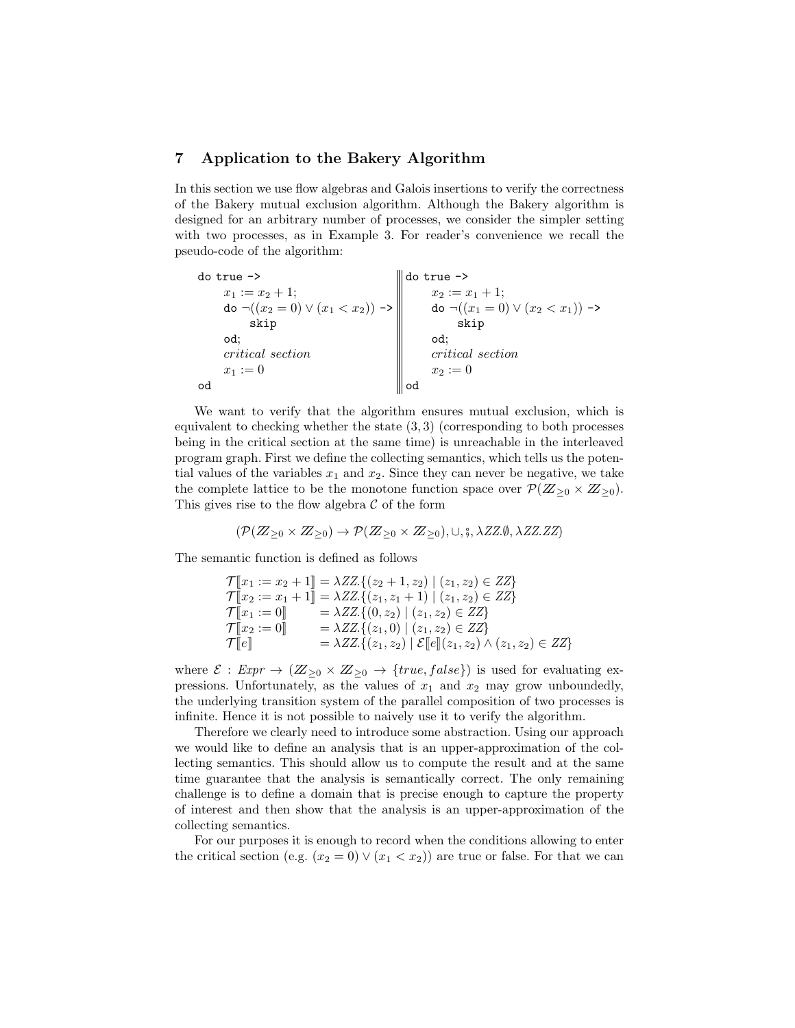#### 7 Application to the Bakery Algorithm

In this section we use flow algebras and Galois insertions to verify the correctness of the Bakery mutual exclusion algorithm. Although the Bakery algorithm is designed for an arbitrary number of processes, we consider the simpler setting with two processes, as in Example 3. For reader's convenience we recall the pseudo-code of the algorithm:

| $do true$ ->                                         | do true ->                                        |
|------------------------------------------------------|---------------------------------------------------|
| $x_1 := x_2 + 1$ ;                                   | $x_2 := x_1 + 1;$                                 |
| do $\neg((x_2 = 0) \lor (x_1 < x_2)) \rightarrow \ $ | do $\neg((x_1 = 0) \lor (x_2 < x_1)) \rightarrow$ |
| skip                                                 | skip                                              |
| od:                                                  | od:                                               |
| <i>critical</i> section                              | <i>critical</i> section                           |
| $x_1 := 0$                                           | $x_2 := 0$                                        |
| od                                                   | od                                                |

We want to verify that the algorithm ensures mutual exclusion, which is equivalent to checking whether the state  $(3,3)$  (corresponding to both processes being in the critical section at the same time) is unreachable in the interleaved program graph. First we define the collecting semantics, which tells us the potential values of the variables  $x_1$  and  $x_2$ . Since they can never be negative, we take the complete lattice to be the monotone function space over  $\mathcal{P}(Z_{\geq 0} \times Z_{\geq 0})$ . This gives rise to the flow algebra  $\mathcal C$  of the form

$$
(\mathcal{P}(Z_{\geq 0} \times Z_{\geq 0}) \to \mathcal{P}(Z_{\geq 0} \times Z_{\geq 0}), \cup, \xi, \lambda ZZ \emptyset, \lambda ZZ \dots Z)
$$

The semantic function is defined as follows

$$
\mathcal{T}[\![x_1 := x_2 + 1]\!] = \lambda ZZ \{ (z_2 + 1, z_2) \mid (z_1, z_2) \in ZZ \}
$$
\n
$$
\mathcal{T}[\![x_2 := x_1 + 1]\!] = \lambda ZZ \{ (z_1, z_1 + 1) \mid (z_1, z_2) \in ZZ \}
$$
\n
$$
\mathcal{T}[\![x_1 := 0]\!] = \lambda ZZ \{ (0, z_2) \mid (z_1, z_2) \in ZZ \}
$$
\n
$$
\mathcal{T}[\![x_2 := 0]\!] = \lambda ZZ \{ (z_1, 0) \mid (z_1, z_2) \in ZZ \}
$$
\n
$$
\mathcal{T}[\![e]\!] = \lambda ZZ \{ (z_1, z_2) \mid \mathcal{E}[\![e]\!](z_1, z_2) \wedge (z_1, z_2) \in ZZ \}
$$

where  $\mathcal{E}: \text{Expr} \to (\mathbb{Z}_{\geq 0} \times \mathbb{Z}_{\geq 0} \to \text{true}, \text{false})$  is used for evaluating expressions. Unfortunately, as the values of  $x_1$  and  $x_2$  may grow unboundedly, the underlying transition system of the parallel composition of two processes is infinite. Hence it is not possible to naively use it to verify the algorithm.

Therefore we clearly need to introduce some abstraction. Using our approach we would like to define an analysis that is an upper-approximation of the collecting semantics. This should allow us to compute the result and at the same time guarantee that the analysis is semantically correct. The only remaining challenge is to define a domain that is precise enough to capture the property of interest and then show that the analysis is an upper-approximation of the collecting semantics.

For our purposes it is enough to record when the conditions allowing to enter the critical section (e.g.  $(x_2 = 0) \vee (x_1 < x_2)$ ) are true or false. For that we can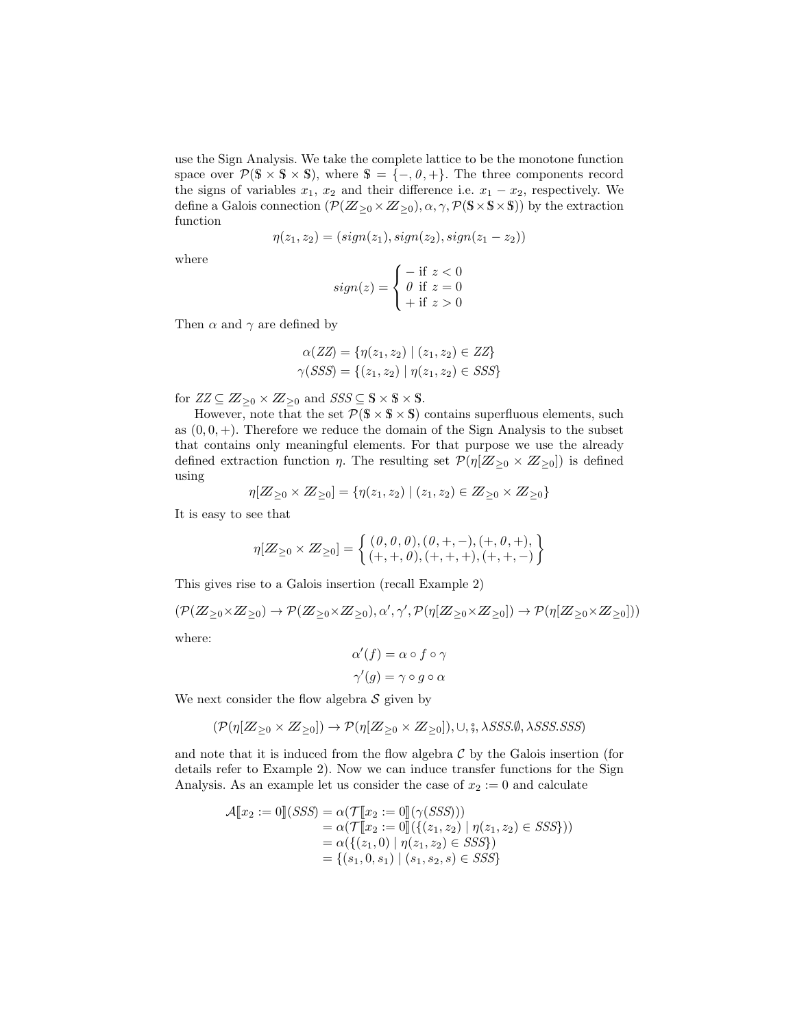use the Sign Analysis. We take the complete lattice to be the monotone function space over  $\mathcal{P}(S \times S \times S)$ , where  $S = \{-, 0, +\}$ . The three components record the signs of variables  $x_1, x_2$  and their difference i.e.  $x_1 - x_2$ , respectively. We define a Galois connection  $(\mathcal{P}(Z_{\geq 0} \times Z_{\geq 0}), \alpha, \gamma, \mathcal{P}(S \times S \times S))$  by the extraction function

$$
\eta(z_1, z_2) = (sign(z_1), sign(z_2), sign(z_1 - z_2))
$$

where

$$
sign(z) = \begin{cases} - \text{ if } z < 0\\ 0 \text{ if } z = 0\\ + \text{ if } z > 0 \end{cases}
$$

Then  $\alpha$  and  $\gamma$  are defined by

$$
\alpha(ZZ) = \{ \eta(z_1, z_2) \mid (z_1, z_2) \in ZZ \}
$$
  

$$
\gamma(SSS) = \{ (z_1, z_2) \mid \eta(z_1, z_2) \in SSS \}
$$

for  $ZZ \subseteq \mathbb{Z}_{\geq 0} \times \mathbb{Z}_{\geq 0}$  and  $SSS \subseteq \mathbb{S} \times \mathbb{S} \times \mathbb{S}$ .

However, note that the set  $\mathcal{P}(S \times S \times S)$  contains superfluous elements, such as  $(0, 0, +)$ . Therefore we reduce the domain of the Sign Analysis to the subset that contains only meaningful elements. For that purpose we use the already defined extraction function  $\eta$ . The resulting set  $\mathcal{P}(\eta[\mathbb{Z}_{\geq 0} \times \mathbb{Z}_{\geq 0}])$  is defined using

$$
\eta[\mathbb{Z}_{\geq 0} \times \mathbb{Z}_{\geq 0}] = \{ \eta(z_1, z_2) \mid (z_1, z_2) \in \mathbb{Z}_{\geq 0} \times \mathbb{Z}_{\geq 0} \}
$$

It is easy to see that

$$
\eta[\mathbb{Z}_{\geq 0} \times \mathbb{Z}_{\geq 0}] = \begin{cases} (0, 0, 0), (0, +, -), (+, 0, +), \\ (+, +, 0), (+, +, +), (+, +, -) \end{cases}
$$

This gives rise to a Galois insertion (recall Example 2)

$$
(\mathcal{P}(Z_{\geq 0} \times Z_{\geq 0}) \to \mathcal{P}(Z_{\geq 0} \times Z_{\geq 0}), \alpha', \gamma', \mathcal{P}(\eta[Z_{\geq 0} \times Z_{\geq 0}]) \to \mathcal{P}(\eta[Z_{\geq 0} \times Z_{\geq 0}]))
$$

where:

$$
\alpha'(f) = \alpha \circ f \circ \gamma
$$

$$
\gamma'(g) = \gamma \circ g \circ \alpha
$$

We next consider the flow algebra  $S$  given by

$$
(\mathcal{P}(\eta[\mathbb{Z}_{\geq 0} \times \mathbb{Z}_{\geq 0}]) \to \mathcal{P}(\eta[\mathbb{Z}_{\geq 0} \times \mathbb{Z}_{\geq 0}]), \cup, \xi, \lambda SSS.\emptyset, \lambda SSS.SSS)
$$

and note that it is induced from the flow algebra  $\mathcal C$  by the Galois insertion (for details refer to Example 2). Now we can induce transfer functions for the Sign Analysis. As an example let us consider the case of  $x_2 := 0$  and calculate

$$
\mathcal{A}[\![x_2 := 0]\!](SSS) = \alpha(\mathcal{T}[\![x_2 := 0]\!](\gamma(SSS)))
$$
  
\n
$$
= \alpha(\mathcal{T}[\![x_2 := 0]\!](\{(z_1, z_2) \mid \eta(z_1, z_2) \in SSS\}))
$$
  
\n
$$
= \alpha(\{(z_1, 0) \mid \eta(z_1, z_2) \in SSS\})
$$
  
\n
$$
= \{(s_1, 0, s_1) \mid (s_1, s_2, s) \in SSS\}
$$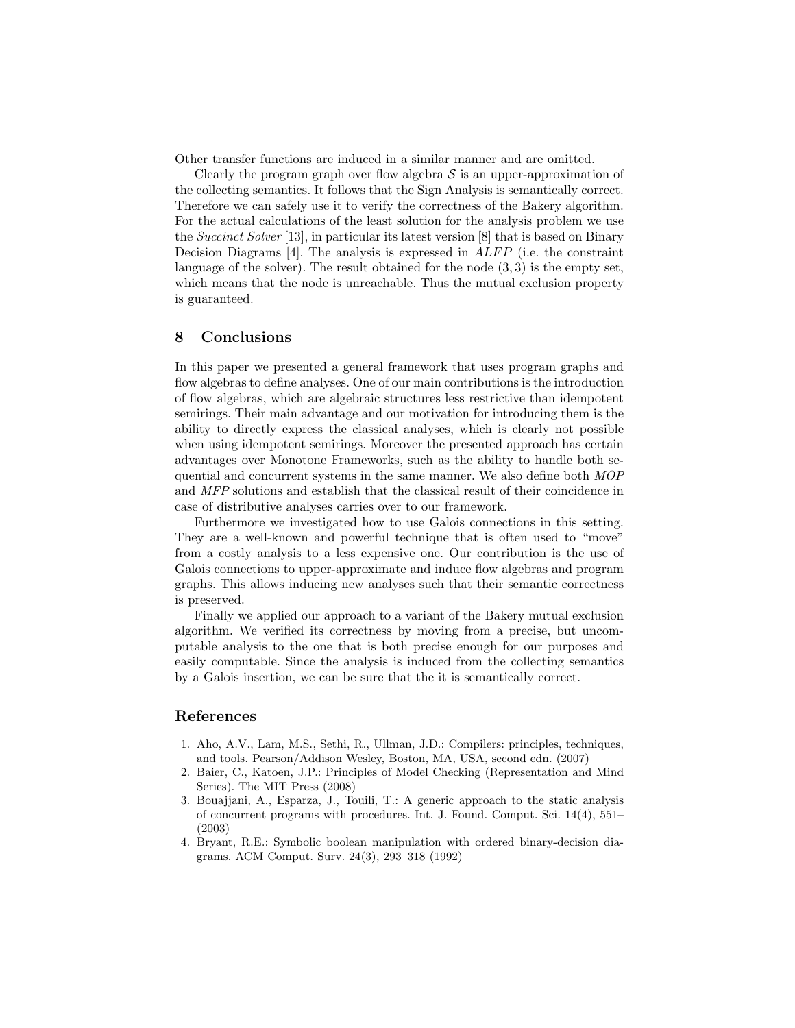Other transfer functions are induced in a similar manner and are omitted.

Clearly the program graph over flow algebra  $S$  is an upper-approximation of the collecting semantics. It follows that the Sign Analysis is semantically correct. Therefore we can safely use it to verify the correctness of the Bakery algorithm. For the actual calculations of the least solution for the analysis problem we use the Succinct Solver [13], in particular its latest version [8] that is based on Binary Decision Diagrams [4]. The analysis is expressed in  $ALFP$  (i.e. the constraint language of the solver). The result obtained for the node (3, 3) is the empty set, which means that the node is unreachable. Thus the mutual exclusion property is guaranteed.

#### 8 Conclusions

In this paper we presented a general framework that uses program graphs and flow algebras to define analyses. One of our main contributions is the introduction of flow algebras, which are algebraic structures less restrictive than idempotent semirings. Their main advantage and our motivation for introducing them is the ability to directly express the classical analyses, which is clearly not possible when using idempotent semirings. Moreover the presented approach has certain advantages over Monotone Frameworks, such as the ability to handle both sequential and concurrent systems in the same manner. We also define both MOP and MFP solutions and establish that the classical result of their coincidence in case of distributive analyses carries over to our framework.

Furthermore we investigated how to use Galois connections in this setting. They are a well-known and powerful technique that is often used to "move" from a costly analysis to a less expensive one. Our contribution is the use of Galois connections to upper-approximate and induce flow algebras and program graphs. This allows inducing new analyses such that their semantic correctness is preserved.

Finally we applied our approach to a variant of the Bakery mutual exclusion algorithm. We verified its correctness by moving from a precise, but uncomputable analysis to the one that is both precise enough for our purposes and easily computable. Since the analysis is induced from the collecting semantics by a Galois insertion, we can be sure that the it is semantically correct.

### References

- 1. Aho, A.V., Lam, M.S., Sethi, R., Ullman, J.D.: Compilers: principles, techniques, and tools. Pearson/Addison Wesley, Boston, MA, USA, second edn. (2007)
- 2. Baier, C., Katoen, J.P.: Principles of Model Checking (Representation and Mind Series). The MIT Press (2008)
- 3. Bouajjani, A., Esparza, J., Touili, T.: A generic approach to the static analysis of concurrent programs with procedures. Int. J. Found. Comput. Sci. 14(4), 551– (2003)
- 4. Bryant, R.E.: Symbolic boolean manipulation with ordered binary-decision diagrams. ACM Comput. Surv. 24(3), 293–318 (1992)